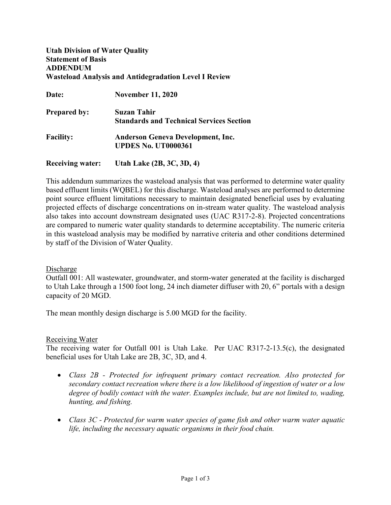## **Utah Division of Water Quality Statement of Basis ADDENDUM Wasteload Analysis and Antidegradation Level I Review**

| Date:                   | <b>November 11, 2020</b>                        |  |
|-------------------------|-------------------------------------------------|--|
| <b>Prepared by:</b>     | Suzan Tahir                                     |  |
|                         | <b>Standards and Technical Services Section</b> |  |
| <b>Facility:</b>        | <b>Anderson Geneva Development, Inc.</b>        |  |
|                         | <b>UPDES No. UT0000361</b>                      |  |
| <b>Receiving water:</b> | Utah Lake (2B, 3C, 3D, 4)                       |  |

This addendum summarizes the wasteload analysis that was performed to determine water quality based effluent limits (WQBEL) for this discharge. Wasteload analyses are performed to determine point source effluent limitations necessary to maintain designated beneficial uses by evaluating projected effects of discharge concentrations on in-stream water quality. The wasteload analysis also takes into account downstream designated uses (UAC R317-2-8). Projected concentrations are compared to numeric water quality standards to determine acceptability. The numeric criteria in this wasteload analysis may be modified by narrative criteria and other conditions determined by staff of the Division of Water Quality.

### Discharge

Outfall 001: All wastewater, groundwater, and storm-water generated at the facility is discharged to Utah Lake through a 1500 foot long, 24 inch diameter diffuser with 20, 6" portals with a design capacity of 20 MGD.

The mean monthly design discharge is 5.00 MGD for the facility.

#### Receiving Water

The receiving water for Outfall 001 is Utah Lake. Per UAC R317-2-13.5(c), the designated beneficial uses for Utah Lake are 2B, 3C, 3D, and 4.

- *Class 2B - Protected for infrequent primary contact recreation. Also protected for secondary contact recreation where there is a low likelihood of ingestion of water or a low degree of bodily contact with the water. Examples include, but are not limited to, wading, hunting, and fishing.*
- *Class 3C - Protected for warm water species of game fish and other warm water aquatic life, including the necessary aquatic organisms in their food chain.*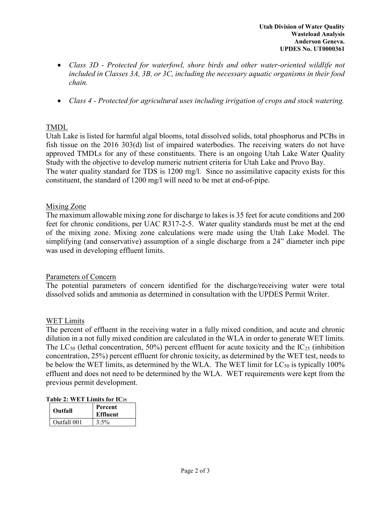- *Class 3D - Protected for waterfowl, shore birds and other water-oriented wildlife not included in Classes 3A, 3B, or 3C, including the necessary aquatic organisms in their food chain.*
- *Class 4 - Protected for agricultural uses including irrigation of crops and stock watering.*

# TMDL

Utah Lake is listed for harmful algal blooms, total dissolved solids, total phosphorus and PCBs in fish tissue on the 2016 303(d) list of impaired waterbodies. The receiving waters do not have approved TMDLs for any of these constituents. There is an ongoing Utah Lake Water Quality Study with the objective to develop numeric nutrient criteria for Utah Lake and Provo Bay. The water quality standard for TDS is 1200 mg/l. Since no assimilative capacity exists for this constituent, the standard of 1200 mg/l will need to be met at end-of-pipe.

# Mixing Zone

The maximum allowable mixing zone for discharge to lakes is 35 feet for acute conditions and 200 feet for chronic conditions, per UAC R317-2-5. Water quality standards must be met at the end of the mixing zone. Mixing zone calculations were made using the Utah Lake Model. The simplifying (and conservative) assumption of a single discharge from a 24" diameter inch pipe was used in developing effluent limits.

# Parameters of Concern

The potential parameters of concern identified for the discharge/receiving water were total dissolved solids and ammonia as determined in consultation with the UPDES Permit Writer.

# WET Limits

The percent of effluent in the receiving water in a fully mixed condition, and acute and chronic dilution in a not fully mixed condition are calculated in the WLA in order to generate WET limits. The  $LC_{50}$  (lethal concentration, 50%) percent effluent for acute toxicity and the  $IC_{25}$  (inhibition concentration, 25%) percent effluent for chronic toxicity, as determined by the WET test, needs to be below the WET limits, as determined by the WLA. The WET limit for  $LC_{50}$  is typically 100% effluent and does not need to be determined by the WLA. WET requirements were kept from the previous permit development.

| Table 2: WET Limits for $IC_{25}$ |  |  |  |
|-----------------------------------|--|--|--|
|                                   |  |  |  |

| Outfall     | Percent<br><b>Effluent</b> |
|-------------|----------------------------|
| Outfall 001 | 3.5%                       |